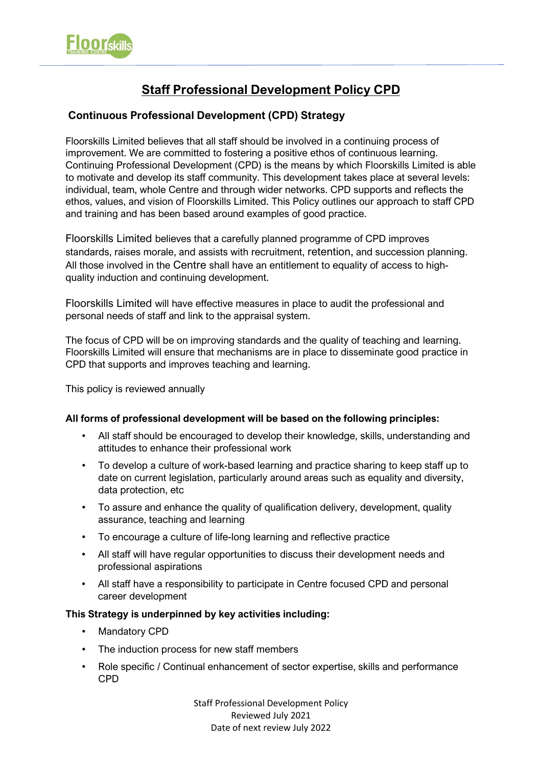

# **Staff Professional Development Policy CPD**

## **Continuous Professional Development (CPD) Strategy**

Floorskills Limited believes that all staff should be involved in a continuing process of improvement. We are committed to fostering a positive ethos of continuous learning. Continuing Professional Development (CPD) is the means by which Floorskills Limited is able to motivate and develop its staff community. This development takes place at several levels: individual, team, whole Centre and through wider networks. CPD supports and reflects the ethos, values, and vision of Floorskills Limited. This Policy outlines our approach to staff CPD and training and has been based around examples of good practice.

Floorskills Limited believes that a carefully planned programme of CPD improves standards, raises morale, and assists with recruitment, retention, and succession planning. All those involved in the Centre shall have an entitlement to equality of access to highquality induction and continuing development.

Floorskills Limited will have effective measures in place to audit the professional and personal needs of staff and link to the appraisal system.

The focus of CPD will be on improving standards and the quality of teaching and learning. Floorskills Limited will ensure that mechanisms are in place to disseminate good practice in CPD that supports and improves teaching and learning.

This policy is reviewed annually

#### **All forms of professional development will be based on the following principles:**

- All staff should be encouraged to develop their knowledge, skills, understanding and attitudes to enhance their professional work
- To develop a culture of work-based learning and practice sharing to keep staff up to date on current legislation, particularly around areas such as equality and diversity, data protection, etc
- To assure and enhance the quality of qualification delivery, development, quality assurance, teaching and learning
- To encourage a culture of life-long learning and reflective practice
- All staff will have regular opportunities to discuss their development needs and professional aspirations
- All staff have a responsibility to participate in Centre focused CPD and personal career development

#### **This Strategy is underpinned by key activities including:**

- Mandatory CPD
- The induction process for new staff members
- Role specific / Continual enhancement of sector expertise, skills and performance CPD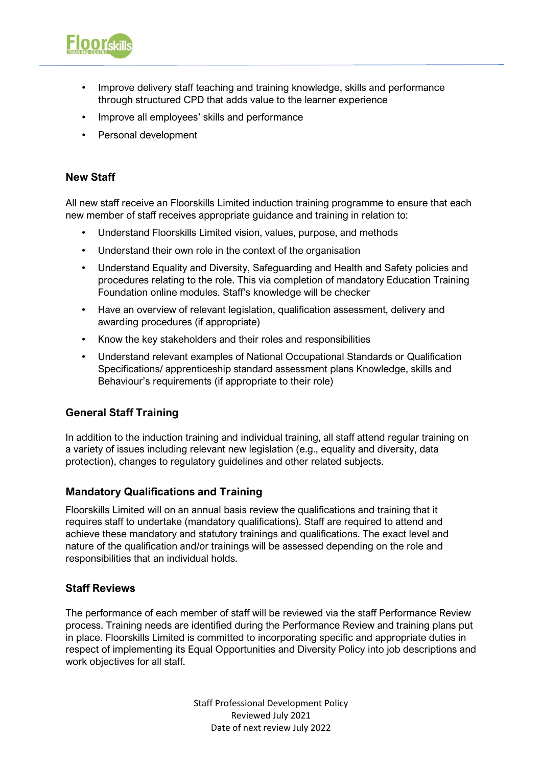

- Improve all employees' skills and performance
- Personal development

## **New Staff**

**Floorskill** 

All new staff receive an Floorskills Limited induction training programme to ensure that each new member of staff receives appropriate guidance and training in relation to:

- Understand Floorskills Limited vision, values, purpose, and methods
- Understand their own role in the context of the organisation
- Understand Equality and Diversity, Safeguarding and Health and Safety policies and procedures relating to the role. This via completion of mandatory Education Training Foundation online modules. Staff's knowledge will be checker
- Have an overview of relevant legislation, qualification assessment, delivery and awarding procedures (if appropriate)
- Know the key stakeholders and their roles and responsibilities
- Understand relevant examples of National Occupational Standards or Qualification Specifications/ apprenticeship standard assessment plans Knowledge, skills and Behaviour's requirements (if appropriate to their role)

#### **General Staff Training**

In addition to the induction training and individual training, all staff attend regular training on a variety of issues including relevant new legislation (e.g., equality and diversity, data protection), changes to regulatory guidelines and other related subjects.

#### **Mandatory Qualifications and Training**

Floorskills Limited will on an annual basis review the qualifications and training that it requires staff to undertake (mandatory qualifications). Staff are required to attend and achieve these mandatory and statutory trainings and qualifications. The exact level and nature of the qualification and/or trainings will be assessed depending on the role and responsibilities that an individual holds.

#### **Staff Reviews**

The performance of each member of staff will be reviewed via the staff Performance Review process. Training needs are identified during the Performance Review and training plans put in place. Floorskills Limited is committed to incorporating specific and appropriate duties in respect of implementing its Equal Opportunities and Diversity Policy into job descriptions and work objectives for all staff.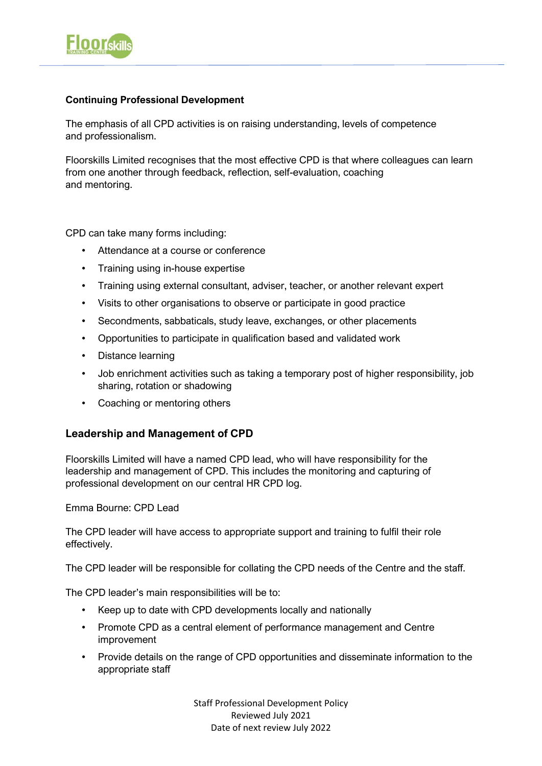

### **Continuing Professional Development**

The emphasis of all CPD activities is on raising understanding, levels of competence and professionalism.

Floorskills Limited recognises that the most effective CPD is that where colleagues can learn from one another through feedback, reflection, self-evaluation, coaching and mentoring.

CPD can take many forms including:

- Attendance at a course or conference
- Training using in-house expertise
- Training using external consultant, adviser, teacher, or another relevant expert
- Visits to other organisations to observe or participate in good practice
- Secondments, sabbaticals, study leave, exchanges, or other placements
- Opportunities to participate in qualification based and validated work
- Distance learning
- Job enrichment activities such as taking a temporary post of higher responsibility, job sharing, rotation or shadowing
- Coaching or mentoring others

## **Leadership and Management of CPD**

Floorskills Limited will have a named CPD lead, who will have responsibility for the leadership and management of CPD. This includes the monitoring and capturing of professional development on our central HR CPD log.

Emma Bourne: CPD Lead

The CPD leader will have access to appropriate support and training to fulfil their role effectively.

The CPD leader will be responsible for collating the CPD needs of the Centre and the staff.

The CPD leader's main responsibilities will be to:

- Keep up to date with CPD developments locally and nationally
- Promote CPD as a central element of performance management and Centre improvement
- Provide details on the range of CPD opportunities and disseminate information to the appropriate staff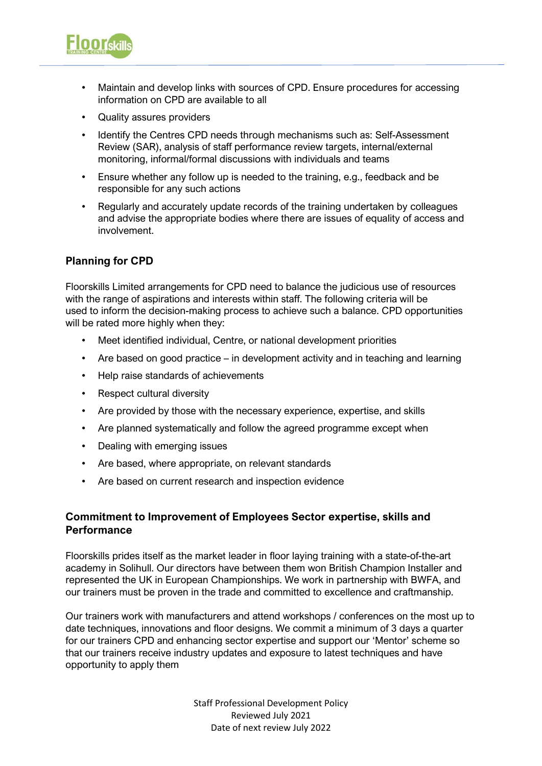

- Maintain and develop links with sources of CPD. Ensure procedures for accessing information on CPD are available to all
- Quality assures providers
- Identify the Centres CPD needs through mechanisms such as: Self-Assessment Review (SAR), analysis of staff performance review targets, internal/external monitoring, informal/formal discussions with individuals and teams
- Ensure whether any follow up is needed to the training, e.g., feedback and be responsible for any such actions
- Regularly and accurately update records of the training undertaken by colleagues and advise the appropriate bodies where there are issues of equality of access and involvement.

## **Planning for CPD**

Floorskills Limited arrangements for CPD need to balance the judicious use of resources with the range of aspirations and interests within staff. The following criteria will be used to inform the decision-making process to achieve such a balance. CPD opportunities will be rated more highly when they:

- Meet identified individual, Centre, or national development priorities
- Are based on good practice in development activity and in teaching and learning
- Help raise standards of achievements
- Respect cultural diversity
- Are provided by those with the necessary experience, expertise, and skills
- Are planned systematically and follow the agreed programme except when
- Dealing with emerging issues
- Are based, where appropriate, on relevant standards
- Are based on current research and inspection evidence

## **Commitment to Improvement of Employees Sector expertise, skills and Performance**

Floorskills prides itself as the market leader in floor laying training with a state-of-the-art academy in Solihull. Our directors have between them won British Champion Installer and represented the UK in European Championships. We work in partnership with BWFA, and our trainers must be proven in the trade and committed to excellence and craftmanship.

Our trainers work with manufacturers and attend workshops / conferences on the most up to date techniques, innovations and floor designs. We commit a minimum of 3 days a quarter for our trainers CPD and enhancing sector expertise and support our 'Mentor' scheme so that our trainers receive industry updates and exposure to latest techniques and have opportunity to apply them